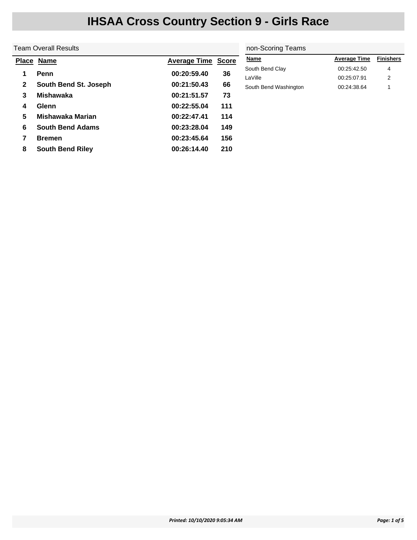|    | Team Overall Results    | non-Scoring Teams         |     |                       |                     |                  |
|----|-------------------------|---------------------------|-----|-----------------------|---------------------|------------------|
|    | Place Name              | <b>Average Time Score</b> |     | <b>Name</b>           | <b>Average Time</b> | <b>Finishers</b> |
|    | Penn                    | 00:20:59.40               | 36  | South Bend Clay       | 00:25:42.50         | 4                |
|    |                         |                           |     | LaVille               | 00:25:07.91         | 2                |
| 2  | South Bend St. Joseph   | 00:21:50.43               | 66  | South Bend Washington | 00:24:38.64         |                  |
| 3  | <b>Mishawaka</b>        | 00:21:51.57               | 73  |                       |                     |                  |
| 4  | <b>Glenn</b>            | 00:22:55.04               | 111 |                       |                     |                  |
| 5. | Mishawaka Marian        | 00:22:47.41               | 114 |                       |                     |                  |
| 6  | <b>South Bend Adams</b> | 00:23:28.04               | 149 |                       |                     |                  |
|    | <b>Bremen</b>           | 00:23:45.64               | 156 |                       |                     |                  |
| 8  | <b>South Bend Riley</b> | 00:26:14.40               | 210 |                       |                     |                  |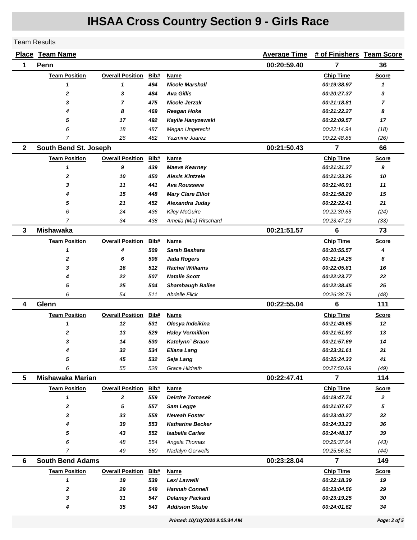#### Team Results

|              | <b>Place Team Name</b>  |                         |      |                          | <b>Average Time</b> | # of Finishers Team Score |              |
|--------------|-------------------------|-------------------------|------|--------------------------|---------------------|---------------------------|--------------|
| 1            | Penn                    |                         |      |                          | 00:20:59.40         | 7                         | 36           |
|              | <b>Team Position</b>    | <b>Overall Position</b> | Bib# | Name                     |                     | <b>Chip Time</b>          | <b>Score</b> |
|              | 1                       | 1                       | 494  | <b>Nicole Marshall</b>   |                     | 00:19:38.97               | 1            |
|              | 2                       | 3                       | 484  | Ava Gillis               |                     | 00:20:27.37               | 3            |
|              | 3                       | $\overline{7}$          | 475  | <b>Nicole Jerzak</b>     |                     | 00:21:18.81               | 7            |
|              | 4                       | 8                       | 469  | <b>Reagan Hoke</b>       |                     | 00:21:22.27               | 8            |
|              | 5                       | 17                      | 492  | Kaylie Hanyzewski        |                     | 00:22:09.57               | 17           |
|              | 6                       | 18                      | 487  | Megan Ungerecht          |                     | 00:22:14.94               | (18)         |
|              | $\overline{7}$          | 26                      | 482  | Yazmine Juarez           |                     | 00:22:48.85               | (26)         |
| $\mathbf{2}$ | South Bend St. Joseph   |                         |      |                          | 00:21:50.43         | 7                         | 66           |
|              | <b>Team Position</b>    | <b>Overall Position</b> | Bib# | Name                     |                     | <b>Chip Time</b>          | <b>Score</b> |
|              | 1                       | 9                       | 439  | <b>Maeve Kearney</b>     |                     | 00:21:31.37               | 9            |
|              | $\mathbf 2$             | 10                      | 450  | <b>Alexis Kintzele</b>   |                     | 00:21:33.26               | 10           |
|              | 3                       | 11                      | 441  | <b>Ava Rousseve</b>      |                     | 00:21:46.91               | 11           |
|              | 4                       | 15                      | 448  | <b>Mary Clare Elliot</b> |                     | 00:21:58.20               | 15           |
|              | 5                       | 21                      | 452  | Alexandra Juday          |                     | 00:22:22.41               | 21           |
|              | 6                       | 24                      | 436  | <b>Kiley McGuire</b>     |                     | 00:22:30.65               | (24)         |
|              | 7                       | 34                      | 438  | Amelia (Mia) Ritschard   |                     | 00:23:47.13               | (33)         |
| 3            | <b>Mishawaka</b>        |                         |      |                          | 00:21:51.57         | 6                         | 73           |
|              | <b>Team Position</b>    | <b>Overall Position</b> | Bib# | Name                     |                     | <b>Chip Time</b>          | <b>Score</b> |
|              | 1                       | 4                       | 509  | Sarah Beshara            |                     | 00:20:55.57               | 4            |
|              | 2                       | 6                       | 506  | <b>Jada Rogers</b>       |                     | 00:21:14.25               | 6            |
|              | 3                       | 16                      | 512  | <b>Rachel Williams</b>   |                     | 00:22:05.81               | 16           |
|              | 4                       | 22                      | 507  | <b>Natalie Scott</b>     |                     | 00:22:23.77               | 22           |
|              | 5                       | 25                      | 504  | <b>Shambaugh Bailee</b>  |                     | 00:22:38.45               | 25           |
|              | 6                       | 54                      | 511  | <b>Abrielle Flick</b>    |                     | 00:26:38.79               | (48)         |
| 4            | Glenn                   |                         |      |                          | 00:22:55.04         | 6                         | 111          |
|              | <b>Team Position</b>    | <b>Overall Position</b> | Bib# | <b>Name</b>              |                     | <b>Chip Time</b>          | <b>Score</b> |
|              | 1                       | 12                      | 531  | Olesya Indeikina         |                     | 00:21:49.65               | 12           |
|              | 2                       | 13                      | 529  | <b>Haley Vermillion</b>  |                     | 00:21:51.93               | 13           |
|              | 3                       | 14                      | 530  | Katelynn' Braun          |                     | 00:21:57.69               | 14           |
|              | 4                       | 32                      | 534  | Eliana Lang              |                     | 00:23:31.61               | 31           |
|              | 5                       | 45                      | 532  | Seja Lang                |                     | 00:25:24.33               | 41           |
|              | 6                       | 55                      | 528  | Grace Hildreth           |                     | 00:27:50.89               | (49)         |
| 5            | <b>Mishawaka Marian</b> |                         |      |                          | 00:22:47.41         | $\overline{7}$            | 114          |
|              | <b>Team Position</b>    | <b>Overall Position</b> | Bib# | <b>Name</b>              |                     | <b>Chip Time</b>          | <b>Score</b> |
|              | 1                       | 2                       | 559  | <b>Deirdre Tomasek</b>   |                     | 00:19:47.74               | 2            |
|              | $\mathbf 2$             | 5                       | 557  | Sam Legge                |                     | 00:21:07.67               | 5            |
|              | 3                       | 33                      | 558  | <b>Neveah Foster</b>     |                     | 00:23:40.27               | 32           |
|              | 4                       | 39                      | 553  | <b>Katharine Becker</b>  |                     | 00:24:33.23               | 36           |
|              | 5                       | 43                      | 552  | <b>Isabella Carles</b>   |                     | 00:24:48.17               | 39           |
|              | 6                       | 48                      | 554  | Angela Thomas            |                     | 00:25:37.64               | (43)         |
|              | $\overline{7}$          | 49                      | 560  | Nadalyn Gerwells         |                     | 00:25:56.51               | (44)         |
| 6            | <b>South Bend Adams</b> |                         |      |                          | 00:23:28.04         | $\overline{7}$            | 149          |
|              | <b>Team Position</b>    | <b>Overall Position</b> | Bib# | Name                     |                     | <b>Chip Time</b>          | <b>Score</b> |
|              | 1                       | 19                      | 539  | Lexi Lawwill             |                     | 00:22:18.39               | 19           |
|              | 2                       | 29                      | 549  | <b>Hannah Connell</b>    |                     | 00:23:04.56               | 29           |
|              | 3                       | 31                      | 547  | <b>Delaney Packard</b>   |                     | 00:23:19.25               | 30           |
|              | 4                       | 35                      | 543  | <b>Addision Skube</b>    |                     | 00:24:01.62               | 34           |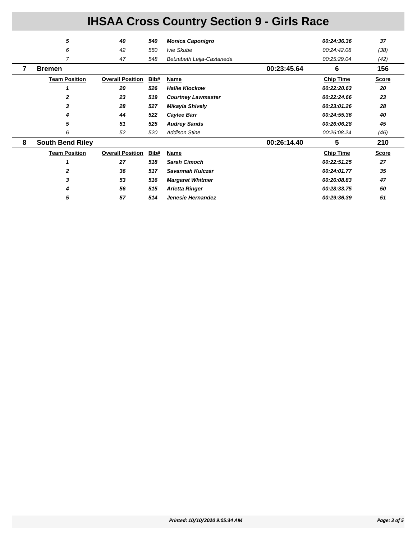|   | 5                       | 40                      | 540  | <b>Monica Caponigro</b>   |             | 00:24:36.36      | 37           |
|---|-------------------------|-------------------------|------|---------------------------|-------------|------------------|--------------|
|   | 6                       | 42                      | 550  | Ivie Skube                |             | 00:24:42.08      | (38)         |
|   | 7                       | 47                      | 548  | Betzabeth Leija-Castaneda |             | 00:25:29.04      | (42)         |
|   | <b>Bremen</b>           |                         |      |                           | 00:23:45.64 | 6                | 156          |
|   | <b>Team Position</b>    | <b>Overall Position</b> | Bib# | Name                      |             | <b>Chip Time</b> | <b>Score</b> |
|   |                         | 20                      | 526  | <b>Hallie Klockow</b>     |             | 00:22:20.63      | 20           |
|   | $\mathbf{z}$            | 23                      | 519  | <b>Courtney Lawmaster</b> |             | 00:22:24.66      | 23           |
|   | 3                       | 28                      | 527  | Mikayla Shively           |             | 00:23:01.26      | 28           |
|   | 4                       | 44                      | 522  | Caylee Barr               |             | 00:24:55.36      | 40           |
|   | 5                       | 51                      | 525  | <b>Audrey Sands</b>       |             | 00:26:06.28      | 45           |
|   | 6                       | 52                      | 520  | <b>Addison Stine</b>      |             | 00:26:08.24      | (46)         |
| 8 | <b>South Bend Riley</b> |                         |      |                           | 00:26:14.40 | 5                | 210          |
|   | <b>Team Position</b>    | <b>Overall Position</b> | Bib# | Name                      |             | <b>Chip Time</b> | <b>Score</b> |
|   |                         | 27                      | 518  | <b>Sarah Cimoch</b>       |             | 00:22:51.25      | 27           |
|   |                         | 36                      | 517  | Savannah Kulczar          |             | 00:24:01.77      | 35           |
|   | 3                       | 53                      | 516  | <b>Margaret Whitmer</b>   |             | 00:26:08.83      | 47           |
|   |                         | 56                      | 515  | <b>Arletta Ringer</b>     |             | 00:28:33.75      | 50           |
|   | 5                       | 57                      | 514  | Jenesie Hernandez         |             | 00:29:36.39      | 51           |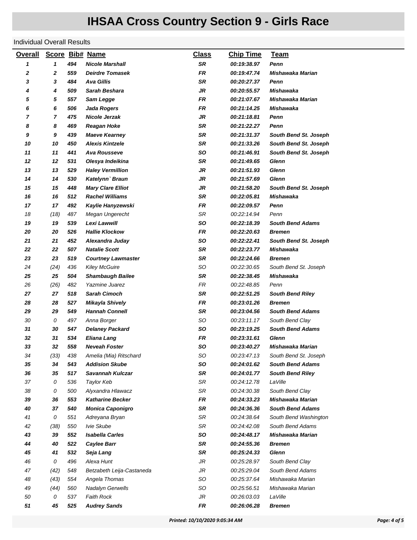#### Individual Overall Results

| <b>Overall</b> |      |     | Score Bib# Name           | <b>Class</b> | <b>Chip Time</b>          | <b>Team</b>             |
|----------------|------|-----|---------------------------|--------------|---------------------------|-------------------------|
| 1              | 1    | 494 | <b>Nicole Marshall</b>    | SR           | 00:19:38.97               | Penn                    |
| 2              | 2    | 559 | <b>Deirdre Tomasek</b>    | <b>FR</b>    | 00:19:47.74               | Mishawaka Marian        |
| 3              | 3    | 484 | <b>Ava Gillis</b>         | SR           | <i><b>00:20:27.37</b></i> | Penn                    |
| 4              | 4    | 509 | Sarah Beshara             | <b>JR</b>    | <i><b>00:20:55.57</b></i> | <b>Mishawaka</b>        |
| 5              | 5    | 557 | Sam Legge                 | FR           | 00:21:07.67               | Mishawaka Marian        |
| 6              | 6    | 506 | <b>Jada Rogers</b>        | <b>FR</b>    | 00:21:14.25               | <b>Mishawaka</b>        |
| 7              | 7    | 475 | Nicole Jerzak             | <b>JR</b>    | 00:21:18.81               | Penn                    |
| 8              | 8    | 469 | <b>Reagan Hoke</b>        | <b>SR</b>    | 00:21:22.27               | Penn                    |
| 9              | 9    | 439 | <b>Maeve Kearney</b>      | <b>SR</b>    | 00:21:31.37               | South Bend St. Joseph   |
| 10             | 10   | 450 | <b>Alexis Kintzele</b>    | <b>SR</b>    | 00:21:33.26               | South Bend St. Joseph   |
| 11             | 11   | 441 | <b>Ava Rousseve</b>       | <b>SO</b>    | 00:21:46.91               | South Bend St. Joseph   |
| 12             | 12   | 531 | Olesya Indeikina          | SR           | 00:21:49.65               | Glenn                   |
| 13             | 13   | 529 | <b>Haley Vermillion</b>   | JR           | 00:21:51.93               | Glenn                   |
| 14             | 14   | 530 | Katelynn' Braun           | <b>JR</b>    | <i><b>00:21:57.69</b></i> | Glenn                   |
| 15             | 15   | 448 | <b>Mary Clare Elliot</b>  | JR           | 00:21:58.20               | South Bend St. Joseph   |
| 16             | 16   | 512 | <b>Rachel Williams</b>    | <b>SR</b>    | 00:22:05.81               | Mishawaka               |
| 17             | 17   | 492 | Kaylie Hanyzewski         | <b>FR</b>    | <i><b>00:22:09.57</b></i> | Penn                    |
| 18             | (18) | 487 | Megan Ungerecht           | <b>SR</b>    | 00:22:14.94               | Penn                    |
| 19             | 19   | 539 | Lexi Lawwill              | <b>SO</b>    | 00:22:18.39               | <b>South Bend Adams</b> |
| 20             | 20   | 526 | <b>Hallie Klockow</b>     | <b>FR</b>    | 00:22:20.63               | <b>Bremen</b>           |
| 21             | 21   | 452 | Alexandra Juday           | <b>SO</b>    | 00:22:22.41               | South Bend St. Joseph   |
| 22             | 22   | 507 | <b>Natalie Scott</b>      | SR           | 00:22:23.77               | Mishawaka               |
| 23             | 23   | 519 | <b>Courtney Lawmaster</b> | <b>SR</b>    | 00:22:24.66               | <b>Bremen</b>           |
| 24             | (24) | 436 | <b>Kiley McGuire</b>      | SO           | 00:22:30.65               | South Bend St. Joseph   |
| 25             | 25   | 504 | <b>Shambaugh Bailee</b>   | SR           | 00:22:38.45               | <b>Mishawaka</b>        |
| 26             | (26) | 482 | Yazmine Juarez            | <b>FR</b>    | 00:22:48.85               | Penn                    |
| 27             | 27   | 518 | <b>Sarah Cimoch</b>       | SR           | 00:22:51.25               | <b>South Bend Riley</b> |
| 28             | 28   | 527 | <b>Mikayla Shively</b>    | FR           | <i><b>00:23:01.26</b></i> | <b>Bremen</b>           |
| 29             | 29   | 549 | <b>Hannah Connell</b>     | <b>SR</b>    | 00:23:04.56               | <b>South Bend Adams</b> |
| 30             | 0    | 497 | Anna Borger               | <b>SO</b>    | 00:23:11.17               | South Bend Clay         |
| 31             | 30   | 547 | <b>Delaney Packard</b>    | so           | 00:23:19.25               | <b>South Bend Adams</b> |
| 32             | 31   | 534 | <b>Eliana Lang</b>        | FR           | 00:23:31.61               | <b>Glenn</b>            |
| 33             | 32   | 558 | <b>Neveah Foster</b>      | so           | 00:23:40.27               | Mishawaka Marian        |
| 34             | (33) | 438 | Amelia (Mia) Ritschard    | SO           | 00:23:47.13               | South Bend St. Joseph   |
| 35             | 34   | 543 | <b>Addision Skube</b>     | SO           | 00:24:01.62               | <b>South Bend Adams</b> |
| 36             | 35   | 517 | Savannah Kulczar          | <b>SR</b>    | 00:24:01.77               | <b>South Bend Riley</b> |
| 37             | 0    | 536 | Taylor Keb                | SR           | 00:24:12.78               | LaVille                 |
| 38             | 0    | 500 | Alyxandra Hlawacz         | SR           | 00:24:30.38               | South Bend Clay         |
| 39             | 36   | 553 | <b>Katharine Becker</b>   | <b>FR</b>    | 00:24:33.23               | Mishawaka Marian        |
| 40             | 37   | 540 | <b>Monica Caponigro</b>   | SR           | 00:24:36.36               | <b>South Bend Adams</b> |
| 41             | 0    | 551 | Adreyana Bryan            | SR           | 00:24:38.64               | South Bend Washington   |
| 42             | (38) | 550 | Ivie Skube                | SR           | 00:24:42.08               | South Bend Adams        |
| 43             | 39   | 552 | <b>Isabella Carles</b>    | SO           | 00:24:48.17               | <b>Mishawaka Marian</b> |
| 44             | 40   | 522 | Caylee Barr               | SR           | <i><b>00:24:55.36</b></i> | <b>Bremen</b>           |
| 45             | 41   | 532 | Seja Lang                 | <b>SR</b>    | 00:25:24.33               | Glenn                   |
| 46             | 0    | 496 | Alexa Hunt                | JR           | 00:25:28.97               | South Bend Clay         |
| 47             | (42) | 548 | Betzabeth Leija-Castaneda | JR           | 00:25:29.04               | South Bend Adams        |
| 48             | (43) | 554 | Angela Thomas             | SO           | 00:25:37.64               | Mishawaka Marian        |
| 49             | (44) | 560 | Nadalyn Gerwells          | SO           | 00:25:56.51               | Mishawaka Marian        |
| 50             | 0    | 537 | <b>Faith Rock</b>         | JR           | 00:26:03.03               | LaVille                 |
| 51             | 45   | 525 | <b>Audrey Sands</b>       | FR           | 00:26:06.28               | <b>Bremen</b>           |